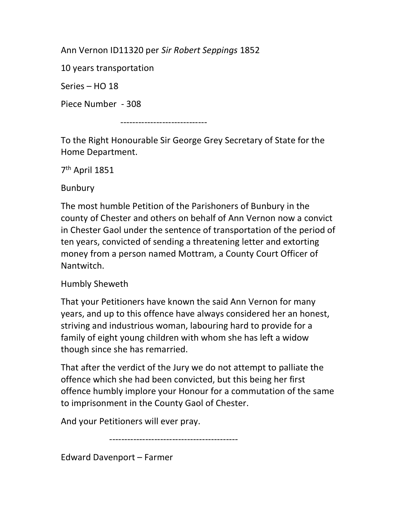Ann Vernon ID11320 per Sir Robert Seppings 1852

10 years transportation

Series – HO 18

Piece Number - 308

-----------------------------

To the Right Honourable Sir George Grey Secretary of State for the Home Department.

7 th April 1851

Bunbury

The most humble Petition of the Parishoners of Bunbury in the county of Chester and others on behalf of Ann Vernon now a convict in Chester Gaol under the sentence of transportation of the period of ten years, convicted of sending a threatening letter and extorting money from a person named Mottram, a County Court Officer of **Nantwitch** 

Humbly Sheweth

That your Petitioners have known the said Ann Vernon for many years, and up to this offence have always considered her an honest, striving and industrious woman, labouring hard to provide for a family of eight young children with whom she has left a widow though since she has remarried.

That after the verdict of the Jury we do not attempt to palliate the offence which she had been convicted, but this being her first offence humbly implore your Honour for a commutation of the same to imprisonment in the County Gaol of Chester.

And your Petitioners will ever pray.

-------------------------------------------

Edward Davenport – Farmer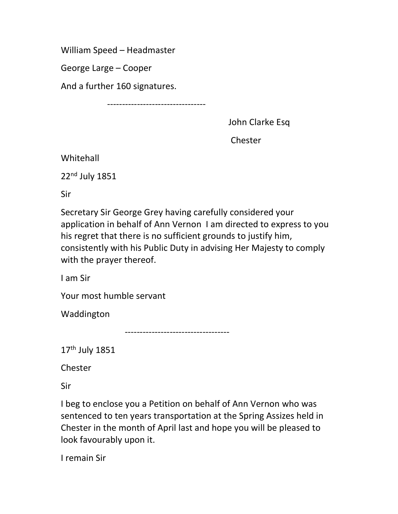William Speed – Headmaster

George Large – Cooper

And a further 160 signatures.

---------------------------------

John Clarke Esq

Chester

Whitehall

22nd July 1851

Sir

Secretary Sir George Grey having carefully considered your application in behalf of Ann Vernon I am directed to express to you his regret that there is no sufficient grounds to justify him, consistently with his Public Duty in advising Her Majesty to comply with the prayer thereof.

I am Sir

Your most humble servant

Waddington

-----------------------------------

17th July 1851

Chester

Sir

I beg to enclose you a Petition on behalf of Ann Vernon who was sentenced to ten years transportation at the Spring Assizes held in Chester in the month of April last and hope you will be pleased to look favourably upon it.

I remain Sir